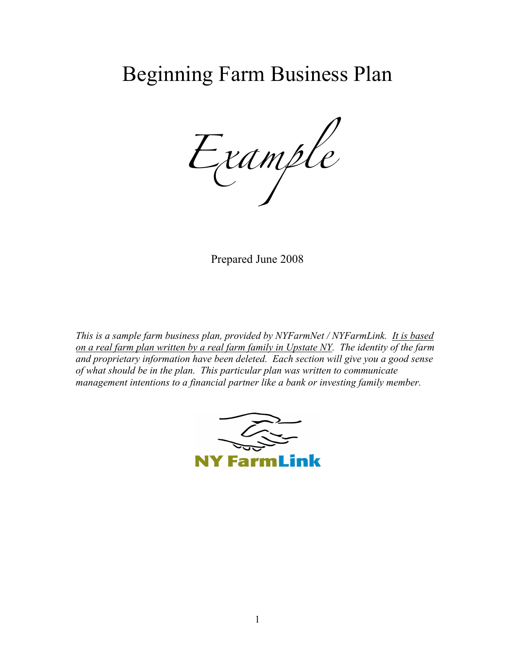# Beginning Farm Business Plan

*Example*

Prepared June 2008

*This is a sample farm business plan, provided by NYFarmNet / NYFarmLink. It is based on a real farm plan written by a real farm family in Upstate NY. The identity of the farm and proprietary information have been deleted. Each section will give you a good sense of what should be in the plan. This particular plan was written to communicate management intentions to a financial partner like a bank or investing family member.*

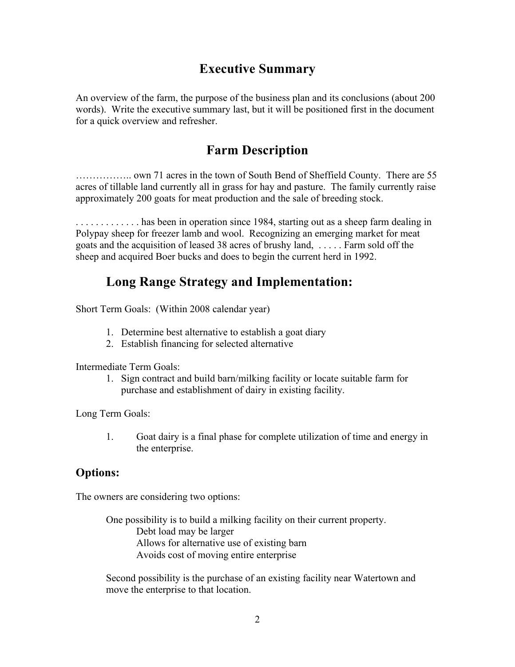## **Executive Summary**

An overview of the farm, the purpose of the business plan and its conclusions (about 200 words). Write the executive summary last, but it will be positioned first in the document for a quick overview and refresher.

## **Farm Description**

…………….. own 71 acres in the town of South Bend of Sheffield County. There are 55 acres of tillable land currently all in grass for hay and pasture. The family currently raise approximately 200 goats for meat production and the sale of breeding stock.

. . . . . . . . . . . . . has been in operation since 1984, starting out as a sheep farm dealing in Polypay sheep for freezer lamb and wool. Recognizing an emerging market for meat goats and the acquisition of leased 38 acres of brushy land, . . . . . Farm sold off the sheep and acquired Boer bucks and does to begin the current herd in 1992.

## **Long Range Strategy and Implementation:**

Short Term Goals: (Within 2008 calendar year)

- 1. Determine best alternative to establish a goat diary
- 2. Establish financing for selected alternative

Intermediate Term Goals:

1. Sign contract and build barn/milking facility or locate suitable farm for purchase and establishment of dairy in existing facility.

Long Term Goals:

1. Goat dairy is a final phase for complete utilization of time and energy in the enterprise.

### **Options:**

The owners are considering two options:

One possibility is to build a milking facility on their current property. Debt load may be larger Allows for alternative use of existing barn Avoids cost of moving entire enterprise

Second possibility is the purchase of an existing facility near Watertown and move the enterprise to that location.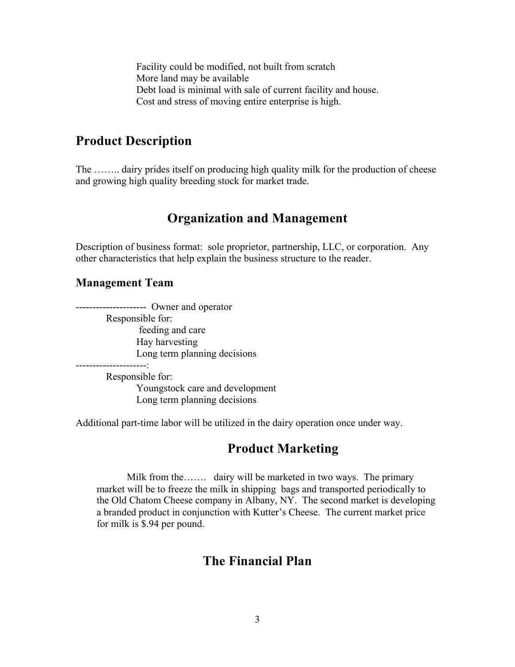Facility could be modified, not built from scratch More land may be available Debt load is minimal with sale of current facility and house. Cost and stress of moving entire enterprise is high.

## **Product Description**

The ........ dairy prides itself on producing high quality milk for the production of cheese and growing high quality breeding stock for market trade.

## **Organization and Management**

Description of business format: sole proprietor, partnership, LLC, or corporation. Any other characteristics that help explain the business structure to the reader.

#### **Management Team**

--------------------- Owner and operator Responsible for: feeding and care Hay harvesting Long term planning decisions

---------------------:

Responsible for: Youngstock care and development Long term planning decisions

Additional part-time labor will be utilized in the dairy operation once under way.

## **Product Marketing**

Milk from the……. dairy will be marketed in two ways. The primary market will be to freeze the milk in shipping bags and transported periodically to the Old Chatom Cheese company in Albany, NY. The second market is developing a branded product in conjunction with Kutter's Cheese. The current market price for milk is \$.94 per pound.

## **The Financial Plan**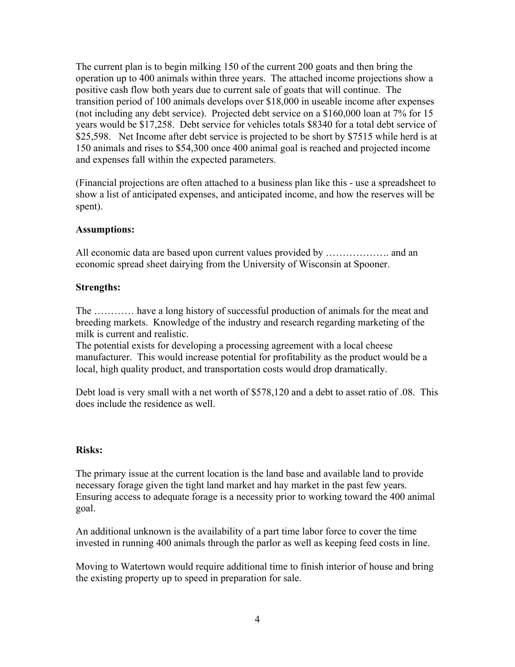The current plan is to begin milking 150 of the current 200 goats and then bring the operation up to 400 animals within three years. The attached income projections show a positive cash flow both years due to current sale of goats that will continue. The transition period of 100 animals develops over \$18,000 in useable income after expenses (not including any debt service). Projected debt service on a \$160,000 loan at 7% for 15 years would be \$17,258. Debt service for vehicles totals \$8340 for a total debt service of \$25,598. Net Income after debt service is projected to be short by \$7515 while herd is at 150 animals and rises to \$54,300 once 400 animal goal is reached and projected income and expenses fall within the expected parameters.

(Financial projections are often attached to a business plan like this - use a spreadsheet to show a list of anticipated expenses, and anticipated income, and how the reserves will be spent).

#### **Assumptions:**

All economic data are based upon current values provided by ………………. and an economic spread sheet dairying from the University of Wisconsin at Spooner.

#### **Strengths:**

The ………… have a long history of successful production of animals for the meat and breeding markets. Knowledge of the industry and research regarding marketing of the milk is current and realistic.

The potential exists for developing a processing agreement with a local cheese manufacturer. This would increase potential for profitability as the product would be a local, high quality product, and transportation costs would drop dramatically.

Debt load is very small with a net worth of \$578,120 and a debt to asset ratio of .08. This does include the residence as well.

#### **Risks:**

The primary issue at the current location is the land base and available land to provide necessary forage given the tight land market and hay market in the past few years. Ensuring access to adequate forage is a necessity prior to working toward the 400 animal goal.

An additional unknown is the availability of a part time labor force to cover the time invested in running 400 animals through the parlor as well as keeping feed costs in line.

Moving to Watertown would require additional time to finish interior of house and bring the existing property up to speed in preparation for sale.